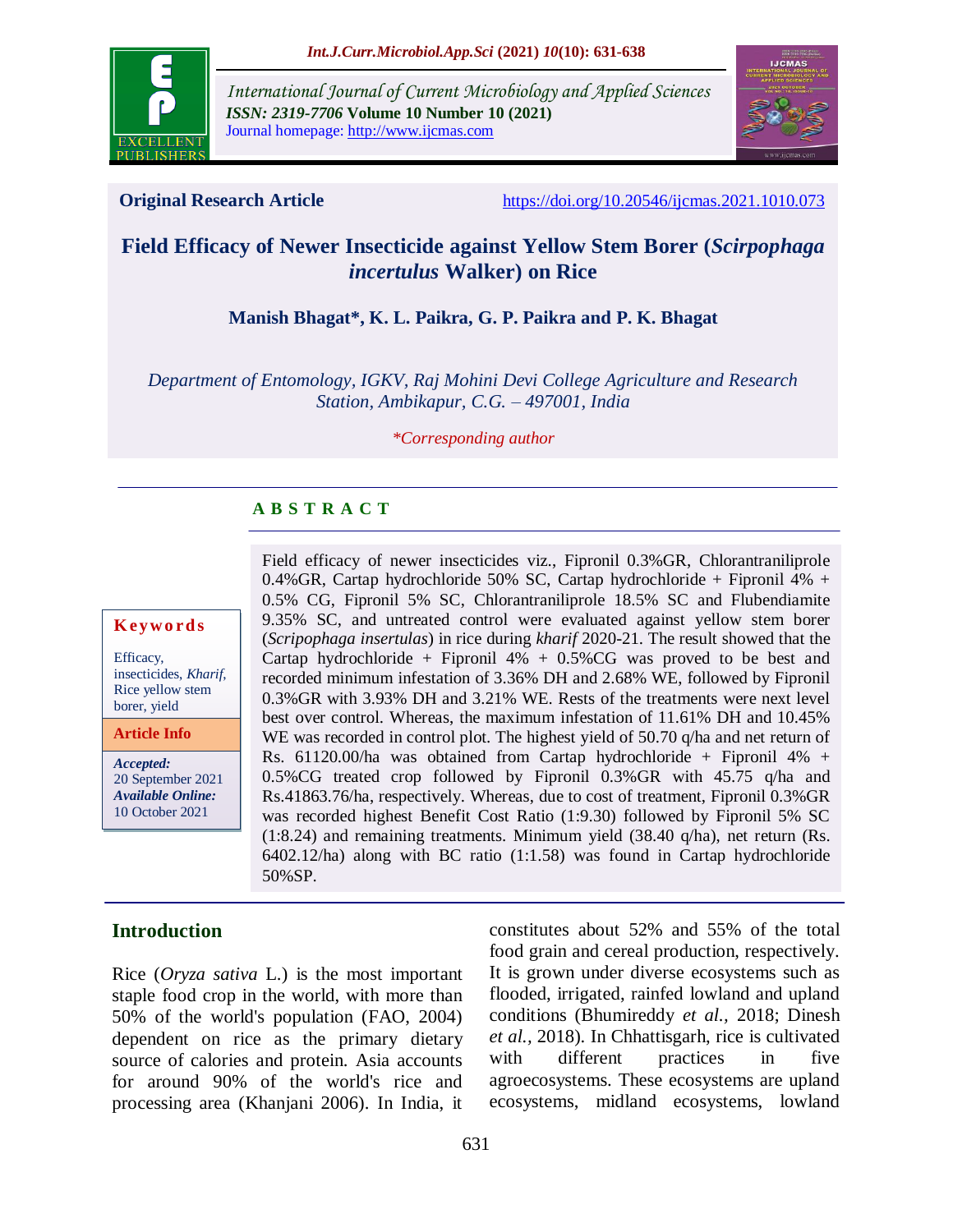

*International Journal of Current Microbiology and Applied Sciences ISSN: 2319-7706* **Volume 10 Number 10 (2021)**  Journal homepage: http://www.ijcmas.com



**Original Research Article** <https://doi.org/10.20546/ijcmas.2021.1010.073>

# **Field Efficacy of Newer Insecticide against Yellow Stem Borer (***Scirpophaga incertulus* **Walker) on Rice**

## **Manish Bhagat\*, K. L. Paikra, G. P. Paikra and P. K. Bhagat**

*Department of Entomology, IGKV, Raj Mohini Devi College Agriculture and Research Station, Ambikapur, C.G. – 497001, India*

#### *\*Corresponding author*

## **A B S T R A C T**

#### **K ey w o rd s**

Efficacy, insecticides, *Kharif*, Rice yellow stem borer, yield

**Article Info**

*Accepted:*  20 September 2021 *Available Online:* 10 October 2021

Field efficacy of newer insecticides viz., Fipronil 0.3%GR, Chlorantraniliprole 0.4%GR, Cartap hydrochloride 50% SC, Cartap hydrochloride + Fipronil 4% + 0.5% CG, Fipronil 5% SC, Chlorantraniliprole 18.5% SC and Flubendiamite 9.35% SC, and untreated control were evaluated against yellow stem borer (*Scripophaga insertulas*) in rice during *kharif* 2020-21. The result showed that the Cartap hydrochloride + Fipronil  $4\%$  + 0.5%CG was proved to be best and recorded minimum infestation of 3.36% DH and 2.68% WE, followed by Fipronil 0.3%GR with 3.93% DH and 3.21% WE. Rests of the treatments were next level best over control. Whereas, the maximum infestation of 11.61% DH and 10.45% WE was recorded in control plot. The highest yield of 50.70 q/ha and net return of Rs. 61120.00/ha was obtained from Cartap hydrochloride + Fipronil  $4\%$  + 0.5%CG treated crop followed by Fipronil 0.3%GR with 45.75 q/ha and Rs.41863.76/ha, respectively. Whereas, due to cost of treatment, Fipronil 0.3%GR was recorded highest Benefit Cost Ratio (1:9.30) followed by Fipronil 5% SC (1:8.24) and remaining treatments. Minimum yield (38.40 q/ha), net return (Rs. 6402.12/ha) along with BC ratio (1:1.58) was found in Cartap hydrochloride 50%SP.

## **Introduction**

Rice (*Oryza sativa* L.) is the most important staple food crop in the world, with more than 50% of the world's population (FAO, 2004) dependent on rice as the primary dietary source of calories and protein. Asia accounts for around 90% of the world's rice and processing area (Khanjani 2006). In India, it constitutes about 52% and 55% of the total food grain and cereal production, respectively. It is grown under diverse ecosystems such as flooded, irrigated, rainfed lowland and upland conditions (Bhumireddy *et al.,* 2018; Dinesh *et al.,* 2018). In Chhattisgarh, rice is cultivated with different practices in five agroecosystems. These ecosystems are upland ecosystems, midland ecosystems, lowland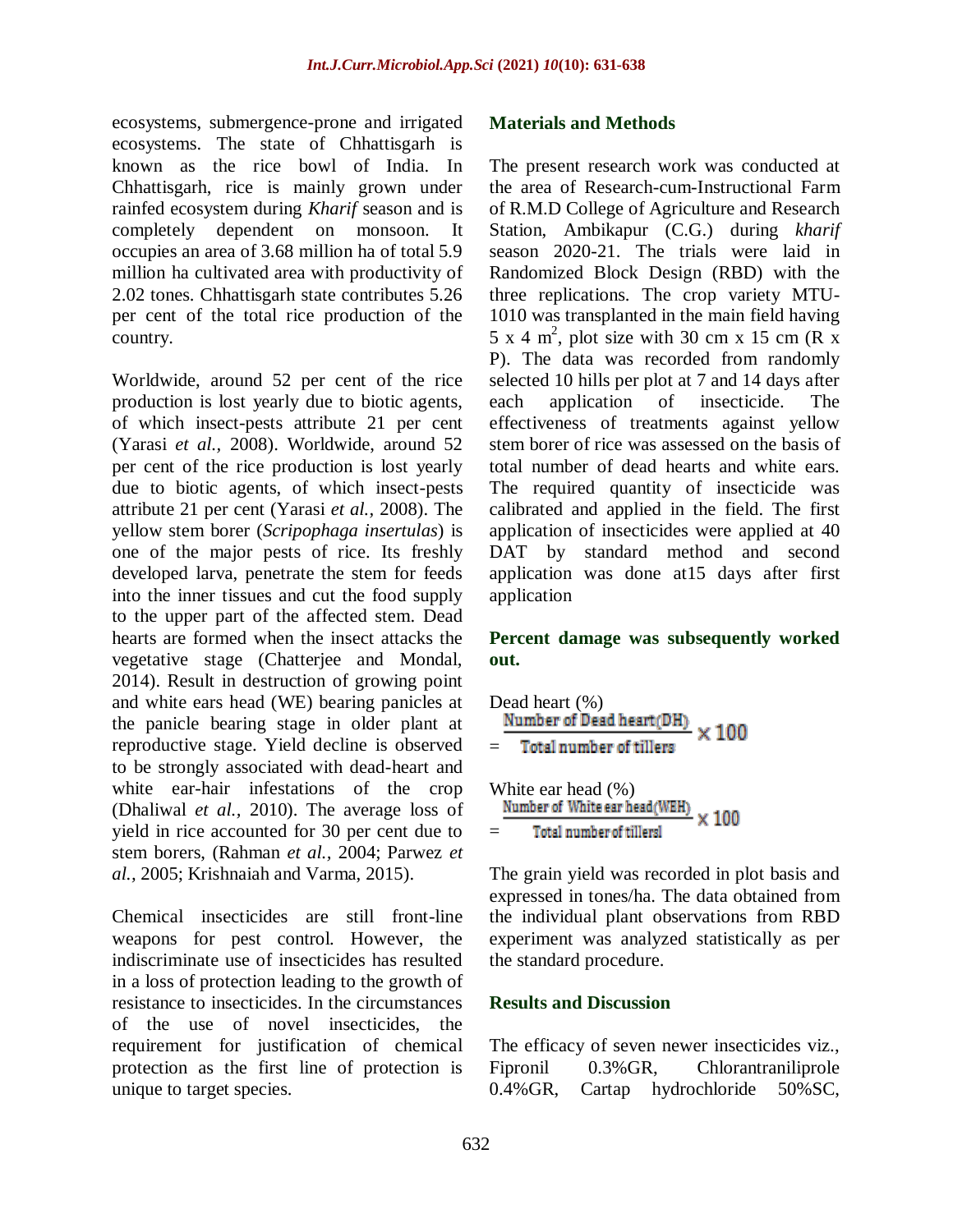ecosystems, submergence-prone and irrigated ecosystems. The state of Chhattisgarh is known as the rice bowl of India. In Chhattisgarh, rice is mainly grown under rainfed ecosystem during *Kharif* season and is completely dependent on monsoon. It occupies an area of 3.68 million ha of total 5.9 million ha cultivated area with productivity of 2.02 tones. Chhattisgarh state contributes 5.26 per cent of the total rice production of the country.

Worldwide, around 52 per cent of the rice production is lost yearly due to biotic agents, of which insect-pests attribute 21 per cent (Yarasi *et al.,* 2008). Worldwide, around 52 per cent of the rice production is lost yearly due to biotic agents, of which insect-pests attribute 21 per cent (Yarasi *et al.,* 2008). The yellow stem borer (*Scripophaga insertulas*) is one of the major pests of rice. Its freshly developed larva, penetrate the stem for feeds into the inner tissues and cut the food supply to the upper part of the affected stem. Dead hearts are formed when the insect attacks the vegetative stage (Chatterjee and Mondal, 2014). Result in destruction of growing point and white ears head (WE) bearing panicles at the panicle bearing stage in older plant at reproductive stage. Yield decline is observed to be strongly associated with dead-heart and white ear-hair infestations of the crop (Dhaliwal *et al.,* 2010). The average loss of yield in rice accounted for 30 per cent due to stem borers, (Rahman *et al.,* 2004; Parwez *et al.,* 2005; Krishnaiah and Varma, 2015).

Chemical insecticides are still front-line weapons for pest control. However, the indiscriminate use of insecticides has resulted in a loss of protection leading to the growth of resistance to insecticides. In the circumstances of the use of novel insecticides, the requirement for justification of chemical protection as the first line of protection is unique to target species.

#### **Materials and Methods**

The present research work was conducted at the area of Research-cum-Instructional Farm of R.M.D College of Agriculture and Research Station, Ambikapur (C.G.) during *kharif* season 2020-21. The trials were laid in Randomized Block Design (RBD) with the three replications. The crop variety MTU-1010 was transplanted in the main field having  $5 \times 4$  m<sup>2</sup>, plot size with 30 cm x 15 cm (R x P). The data was recorded from randomly selected 10 hills per plot at 7 and 14 days after each application of insecticide. The effectiveness of treatments against yellow stem borer of rice was assessed on the basis of total number of dead hearts and white ears. The required quantity of insecticide was calibrated and applied in the field. The first application of insecticides were applied at 40 DAT by standard method and second application was done at15 days after first application

## **Percent damage was subsequently worked out.**

|                                                                   | Dead heart $(\% )$<br>Number of Dead heart(DH)<br>$\times 100$ |  |  |  |  |  |  |
|-------------------------------------------------------------------|----------------------------------------------------------------|--|--|--|--|--|--|
| $=$                                                               | Total number of tillers                                        |  |  |  |  |  |  |
| White ear head (%)<br>Number of White ear head (WEH) $\times 100$ |                                                                |  |  |  |  |  |  |
|                                                                   | Total number of tillersl                                       |  |  |  |  |  |  |

The grain yield was recorded in plot basis and expressed in tones/ha. The data obtained from the individual plant observations from RBD experiment was analyzed statistically as per the standard procedure.

## **Results and Discussion**

The efficacy of seven newer insecticides viz., Fipronil 0.3%GR, Chlorantraniliprole 0.4%GR, Cartap hydrochloride 50%SC,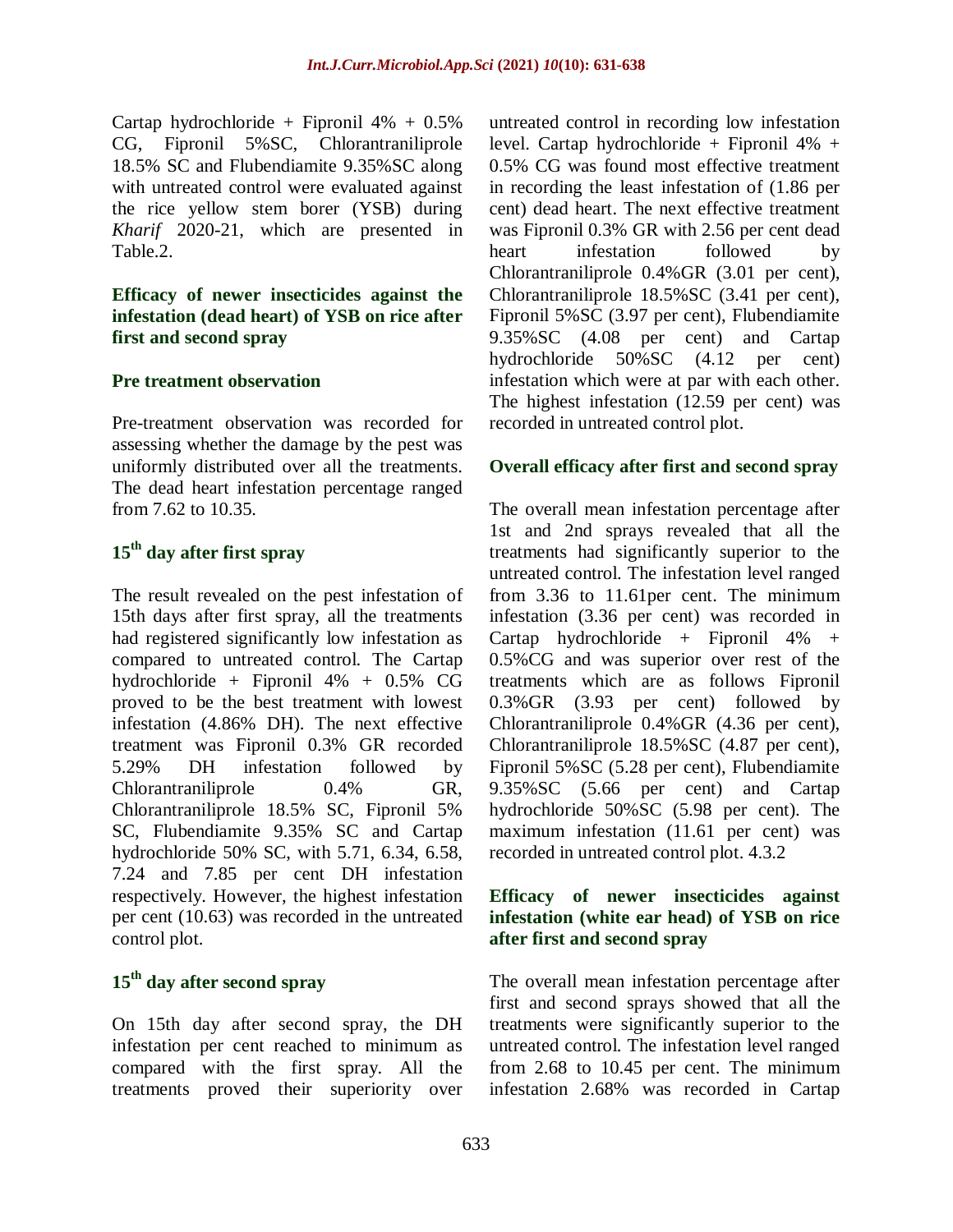Cartap hydrochloride + Fipronil  $4\% + 0.5\%$ CG, Fipronil 5%SC, Chlorantraniliprole 18.5% SC and Flubendiamite 9.35%SC along with untreated control were evaluated against the rice yellow stem borer (YSB) during *Kharif* 2020-21, which are presented in Table.2.

## **Efficacy of newer insecticides against the infestation (dead heart) of YSB on rice after first and second spray**

## **Pre treatment observation**

Pre-treatment observation was recorded for assessing whether the damage by the pest was uniformly distributed over all the treatments. The dead heart infestation percentage ranged from 7.62 to 10.35.

# **15th day after first spray**

The result revealed on the pest infestation of 15th days after first spray, all the treatments had registered significantly low infestation as compared to untreated control. The Cartap hydrochloride + Fipronil 4% + 0.5% CG proved to be the best treatment with lowest infestation (4.86% DH). The next effective treatment was Fipronil 0.3% GR recorded 5.29% DH infestation followed by Chlorantraniliprole 0.4% GR, Chlorantraniliprole 18.5% SC, Fipronil 5% SC, Flubendiamite 9.35% SC and Cartap hydrochloride 50% SC, with 5.71, 6.34, 6.58, 7.24 and 7.85 per cent DH infestation respectively. However, the highest infestation per cent (10.63) was recorded in the untreated control plot.

# **15th day after second spray**

On 15th day after second spray, the DH infestation per cent reached to minimum as compared with the first spray. All the treatments proved their superiority over

untreated control in recording low infestation level. Cartap hydrochloride + Fipronil  $4\%$  + 0.5% CG was found most effective treatment in recording the least infestation of (1.86 per cent) dead heart. The next effective treatment was Fipronil 0.3% GR with 2.56 per cent dead heart infestation followed by Chlorantraniliprole 0.4%GR (3.01 per cent), Chlorantraniliprole 18.5%SC (3.41 per cent), Fipronil 5%SC (3.97 per cent), Flubendiamite 9.35%SC (4.08 per cent) and Cartap hydrochloride 50%SC (4.12 per cent) infestation which were at par with each other. The highest infestation (12.59 per cent) was recorded in untreated control plot.

## **Overall efficacy after first and second spray**

The overall mean infestation percentage after 1st and 2nd sprays revealed that all the treatments had significantly superior to the untreated control. The infestation level ranged from 3.36 to 11.61per cent. The minimum infestation (3.36 per cent) was recorded in Cartap hydrochloride + Fipronil 4% + 0.5%CG and was superior over rest of the treatments which are as follows Fipronil 0.3%GR (3.93 per cent) followed by Chlorantraniliprole 0.4%GR (4.36 per cent), Chlorantraniliprole 18.5%SC (4.87 per cent), Fipronil 5%SC (5.28 per cent), Flubendiamite 9.35%SC (5.66 per cent) and Cartap hydrochloride 50%SC (5.98 per cent). The maximum infestation (11.61 per cent) was recorded in untreated control plot. 4.3.2

## **Efficacy of newer insecticides against infestation (white ear head) of YSB on rice after first and second spray**

The overall mean infestation percentage after first and second sprays showed that all the treatments were significantly superior to the untreated control. The infestation level ranged from 2.68 to 10.45 per cent. The minimum infestation 2.68% was recorded in Cartap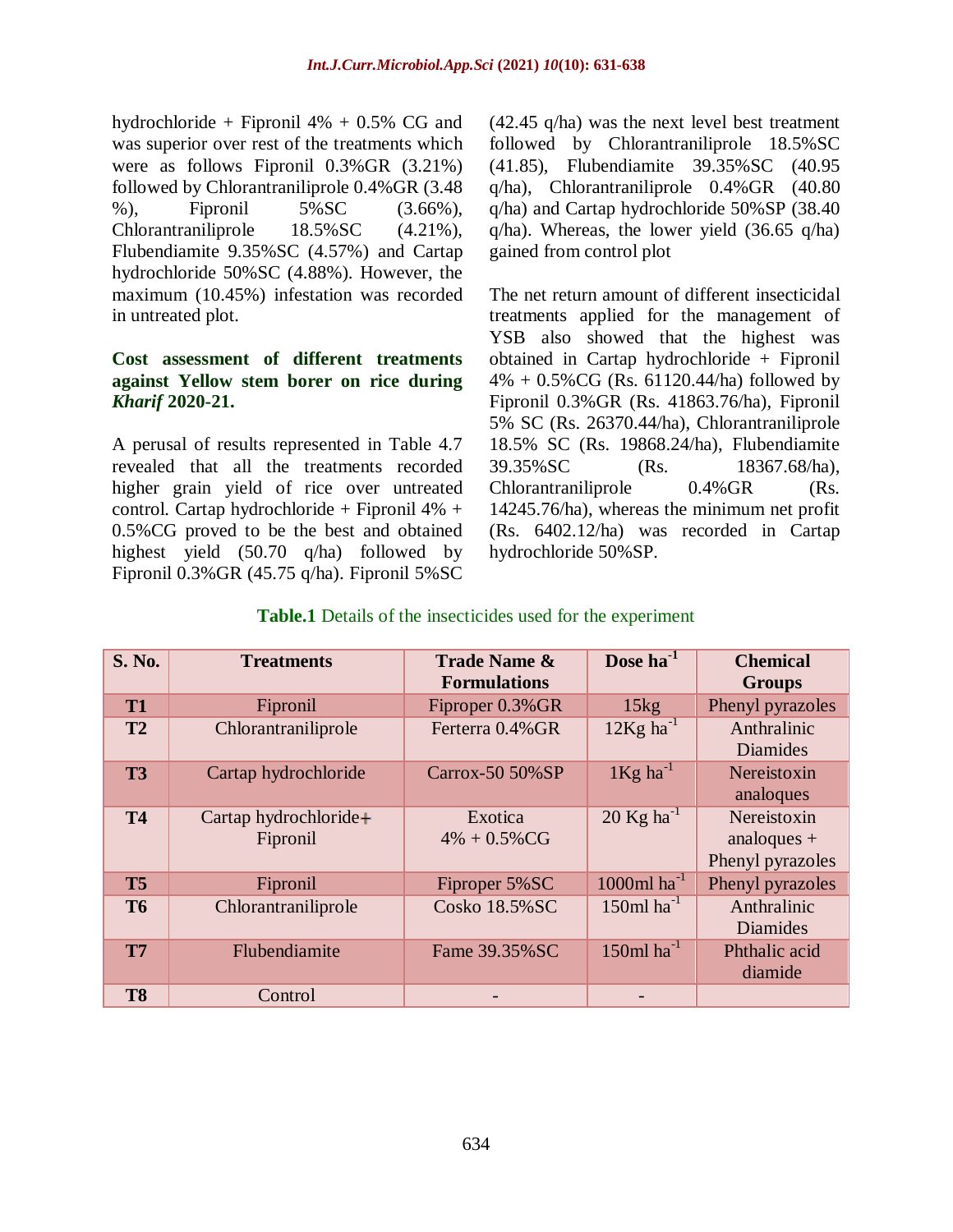hydrochloride + Fipronil  $4\%$  + 0.5% CG and was superior over rest of the treatments which were as follows Fipronil 0.3%GR (3.21%) followed by Chlorantraniliprole 0.4%GR (3.48 %), Fipronil 5%SC (3.66%), Chlorantraniliprole 18.5%SC (4.21%), Flubendiamite 9.35%SC (4.57%) and Cartap hydrochloride 50%SC (4.88%). However, the maximum (10.45%) infestation was recorded in untreated plot.

## **Cost assessment of different treatments against Yellow stem borer on rice during**  *Kharif* **2020-21.**

A perusal of results represented in Table 4.7 revealed that all the treatments recorded higher grain yield of rice over untreated control. Cartap hydrochloride + Fipronil 4% + 0.5%CG proved to be the best and obtained highest yield (50.70 q/ha) followed by Fipronil 0.3%GR (45.75 q/ha). Fipronil 5%SC

(42.45 q/ha) was the next level best treatment followed by Chlorantraniliprole 18.5%SC (41.85), Flubendiamite 39.35%SC (40.95 q/ha), Chlorantraniliprole 0.4%GR (40.80 q/ha) and Cartap hydrochloride 50%SP (38.40  $q/ha$ ). Whereas, the lower yield (36.65  $q/ha$ ) gained from control plot

The net return amount of different insecticidal treatments applied for the management of YSB also showed that the highest was obtained in Cartap hydrochloride + Fipronil  $4\% + 0.5\% \text{CG}$  (Rs. 61120.44/ha) followed by Fipronil 0.3%GR (Rs. 41863.76/ha), Fipronil 5% SC (Rs. 26370.44/ha), Chlorantraniliprole 18.5% SC (Rs. 19868.24/ha), Flubendiamite 39.35%SC (Rs. 18367.68/ha), Chlorantraniliprole 0.4%GR (Rs. 14245.76/ha), whereas the minimum net profit (Rs. 6402.12/ha) was recorded in Cartap hydrochloride 50%SP.

## **Table.1** Details of the insecticides used for the experiment

| <b>S. No.</b>  | <b>Treatments</b>                 | <b>Trade Name &amp;</b><br><b>Formulations</b> | Dose ha <sup>-1</sup>      | <b>Chemical</b><br><b>Groups</b>                 |
|----------------|-----------------------------------|------------------------------------------------|----------------------------|--------------------------------------------------|
| <b>T1</b>      | Fipronil                          | Fiproper 0.3% GR                               | 15kg                       | Phenyl pyrazoles                                 |
| T2             | Chlorantraniliprole               | Ferterra 0.4% GR                               | $12Kg$ ha <sup>-1</sup>    | Anthralinic<br>Diamides                          |
| T <sub>3</sub> | Cartap hydrochloride              | Carrox-50 50%SP                                | $1$ Kg ha <sup>-1</sup>    | Nereistoxin<br>analoques                         |
| <b>T4</b>      | Cartap hydrochloride+<br>Fipronil | Exotica<br>$4\% + 0.5\% \text{CG}$             | $20$ Kg ha <sup>-1</sup>   | Nereistoxin<br>analogues $+$<br>Phenyl pyrazoles |
| T <sub>5</sub> | Fipronil                          | Fiproper 5% SC                                 | $1000$ ml ha <sup>-1</sup> | Phenyl pyrazoles                                 |
| <b>T6</b>      | Chlorantraniliprole               | Cosko 18.5% SC                                 | $150$ ml ha <sup>-1</sup>  | Anthralinic<br>Diamides                          |
| T <sub>7</sub> | Flubendiamite                     | Fame 39.35% SC                                 | $150$ ml ha <sup>-1</sup>  | Phthalic acid<br>diamide                         |
| T <sub>8</sub> | Control                           |                                                |                            |                                                  |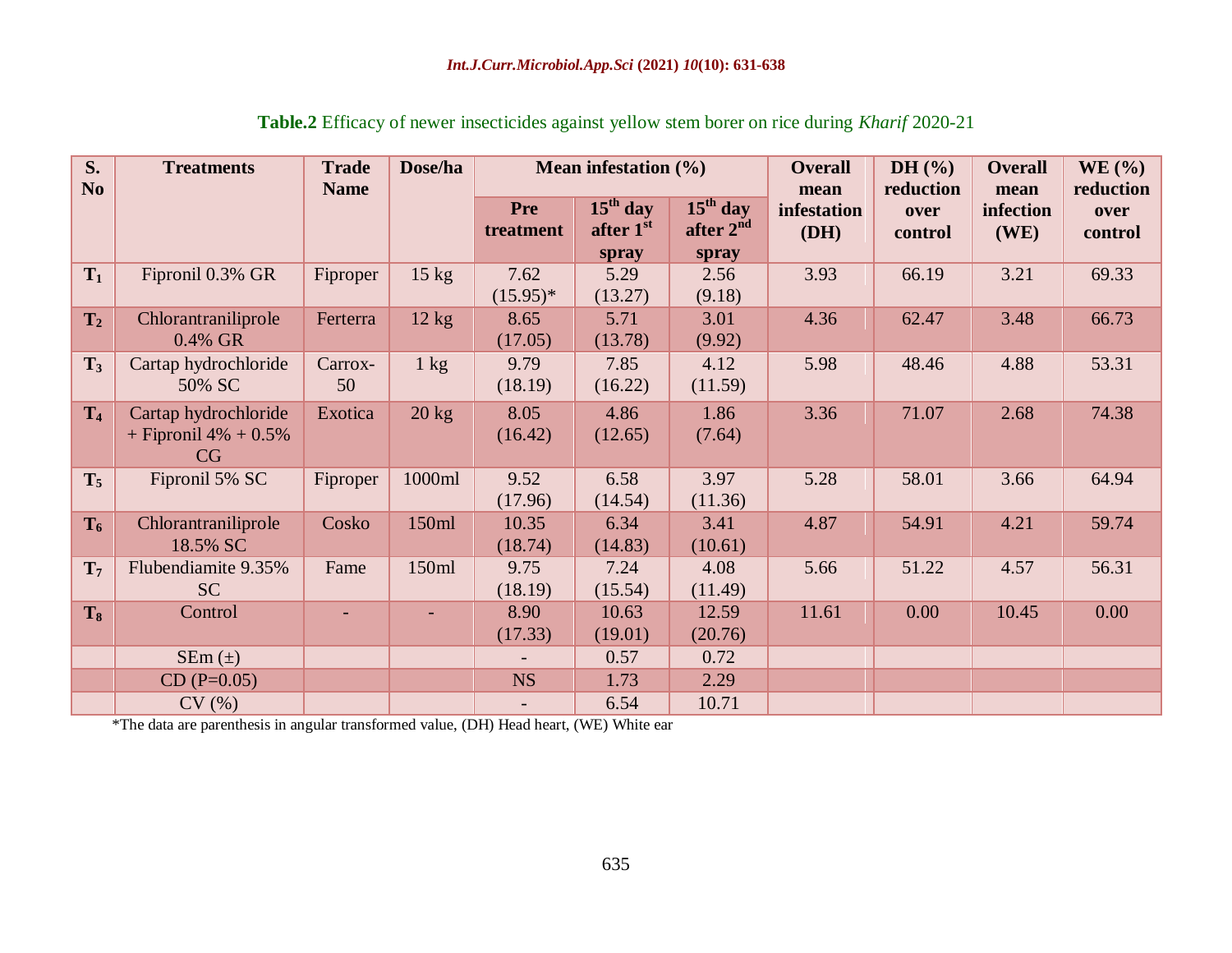| S.<br>N <sub>o</sub> | <b>Treatments</b>                                     | <b>Trade</b><br><b>Name</b> | Dose/ha         | Mean infestation $(\% )$ |                                  |                                              | <b>Overall</b><br>mean | DH $(%)$<br>reduction | <b>Overall</b><br>mean | WE(%)<br>reduction |
|----------------------|-------------------------------------------------------|-----------------------------|-----------------|--------------------------|----------------------------------|----------------------------------------------|------------------------|-----------------------|------------------------|--------------------|
|                      |                                                       |                             |                 | <b>Pre</b><br>treatment  | $15th$ day<br>after 1st<br>spray | $15th$ day<br>after 2 <sup>nd</sup><br>spray | infestation<br>(DH)    | over<br>control       | infection<br>(WE)      | over<br>control    |
| $T_1$                | Fipronil 0.3% GR                                      | Fiproper                    | $15 \text{ kg}$ | 7.62<br>$(15.95)^*$      | 5.29<br>(13.27)                  | 2.56<br>(9.18)                               | 3.93                   | 66.19                 | 3.21                   | 69.33              |
| T <sub>2</sub>       | Chlorantraniliprole<br>0.4% GR                        | Ferterra                    | 12 kg           | 8.65<br>(17.05)          | 5.71<br>(13.78)                  | 3.01<br>(9.92)                               | 4.36                   | 62.47                 | 3.48                   | 66.73              |
| $T_3$                | Cartap hydrochloride<br>50% SC                        | Carrox-<br>50               | $1 \text{ kg}$  | 9.79<br>(18.19)          | 7.85<br>(16.22)                  | 4.12<br>(11.59)                              | 5.98                   | 48.46                 | 4.88                   | 53.31              |
| T <sub>4</sub>       | Cartap hydrochloride<br>+ Fipronil $4\%$ + 0.5%<br>CG | Exotica                     | $20 \text{ kg}$ | 8.05<br>(16.42)          | 4.86<br>(12.65)                  | 1.86<br>(7.64)                               | 3.36                   | 71.07                 | 2.68                   | 74.38              |
| $T_5$                | Fipronil 5% SC                                        | Fiproper                    | 1000ml          | 9.52<br>(17.96)          | 6.58<br>(14.54)                  | 3.97<br>(11.36)                              | 5.28                   | 58.01                 | 3.66                   | 64.94              |
| $T_6$                | Chlorantraniliprole<br>18.5% SC                       | Cosko                       | 150ml           | 10.35<br>(18.74)         | 6.34<br>(14.83)                  | 3.41<br>(10.61)                              | 4.87                   | 54.91                 | 4.21                   | 59.74              |
| T <sub>7</sub>       | Flubendiamite 9.35%<br>SC                             | Fame                        | 150ml           | 9.75<br>(18.19)          | 7.24<br>(15.54)                  | 4.08<br>(11.49)                              | 5.66                   | 51.22                 | 4.57                   | 56.31              |
| $T_8$                | Control                                               |                             |                 | 8.90<br>(17.33)          | 10.63<br>(19.01)                 | 12.59<br>(20.76)                             | 11.61                  | 0.00                  | 10.45                  | 0.00               |
|                      | $SEm(\pm)$                                            |                             |                 |                          | 0.57                             | 0.72                                         |                        |                       |                        |                    |
|                      | $CD (P=0.05)$                                         |                             |                 | <b>NS</b>                | 1.73                             | 2.29                                         |                        |                       |                        |                    |
|                      | CV(%)                                                 |                             |                 |                          | 6.54                             | 10.71                                        |                        |                       |                        |                    |

**Table.2** Efficacy of newer insecticides against yellow stem borer on rice during *Kharif* 2020-21

\*The data are parenthesis in angular transformed value, (DH) Head heart, (WE) White ear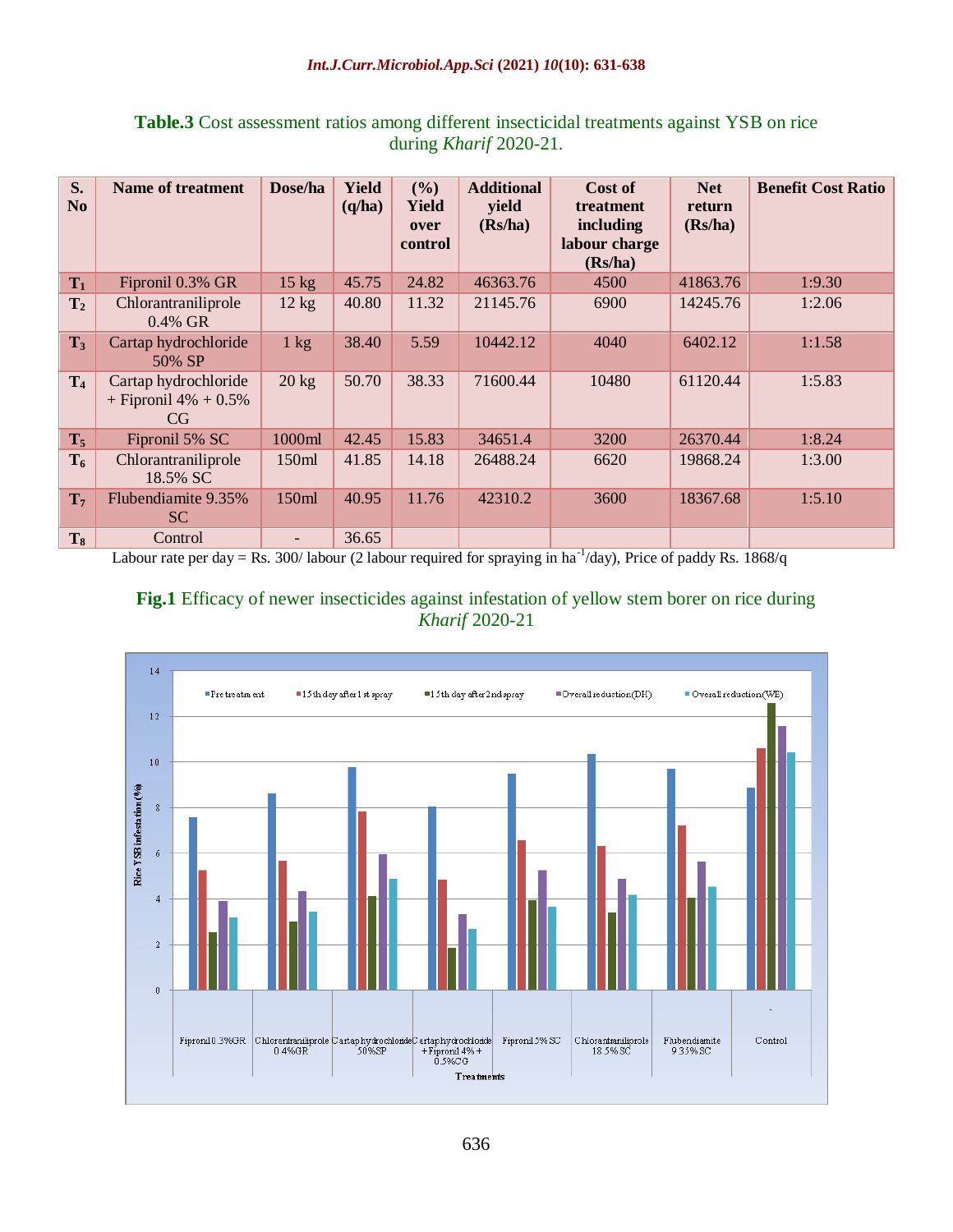| S.<br>N <sub>o</sub> | <b>Name of treatment</b>                              | Dose/ha                  | Yield<br>(q/ha) | (%)<br><b>Yield</b><br>over<br>control | <b>Additional</b><br>yield<br>(Rs/ha) | Cost of<br>treatment<br>including<br>labour charge<br>(Rs/ha) | <b>Net</b><br>return<br>(Rs/ha) | <b>Benefit Cost Ratio</b> |
|----------------------|-------------------------------------------------------|--------------------------|-----------------|----------------------------------------|---------------------------------------|---------------------------------------------------------------|---------------------------------|---------------------------|
| $T_1$                | Fipronil 0.3% GR                                      | $15 \text{ kg}$          | 45.75           | 24.82                                  | 46363.76                              | 4500                                                          | 41863.76                        | 1:9.30                    |
| T <sub>2</sub>       | Chlorantraniliprole<br>0.4% GR                        | $12 \text{ kg}$          | 40.80           | 11.32                                  | 21145.76                              | 6900                                                          | 14245.76                        | 1:2.06                    |
| $T_3$                | Cartap hydrochloride<br>50% SP                        | $1 \text{ kg}$           | 38.40           | 5.59                                   | 10442.12                              | 4040                                                          | 6402.12                         | 1:1.58                    |
| T <sub>4</sub>       | Cartap hydrochloride<br>+ Fipronil $4\%$ + 0.5%<br>CG | $20 \text{ kg}$          | 50.70           | 38.33                                  | 71600.44                              | 10480                                                         | 61120.44                        | 1:5.83                    |
| $T_5$                | Fipronil 5% SC                                        | 1000ml                   | 42.45           | 15.83                                  | 34651.4                               | 3200                                                          | 26370.44                        | 1:8.24                    |
| $T_6$                | Chlorantraniliprole<br>18.5% SC                       | 150ml                    | 41.85           | 14.18                                  | 26488.24                              | 6620                                                          | 19868.24                        | 1:3.00                    |
| $T_7$                | Flubendiamite 9.35%<br><b>SC</b>                      | 150ml                    | 40.95           | 11.76                                  | 42310.2                               | 3600                                                          | 18367.68                        | 1:5.10                    |
| $T_8$                | Control                                               | $\overline{\phantom{0}}$ | 36.65           |                                        |                                       |                                                               |                                 |                           |

## **Table.3** Cost assessment ratios among different insecticidal treatments against YSB on rice during *Kharif* 2020-21.

Labour rate per day = Rs. 300/labour (2 labour required for spraying in ha<sup>-1</sup>/day), Price of paddy Rs. 1868/q

## **Fig.1** Efficacy of newer insecticides against infestation of yellow stem borer on rice during *Kharif* 2020-21

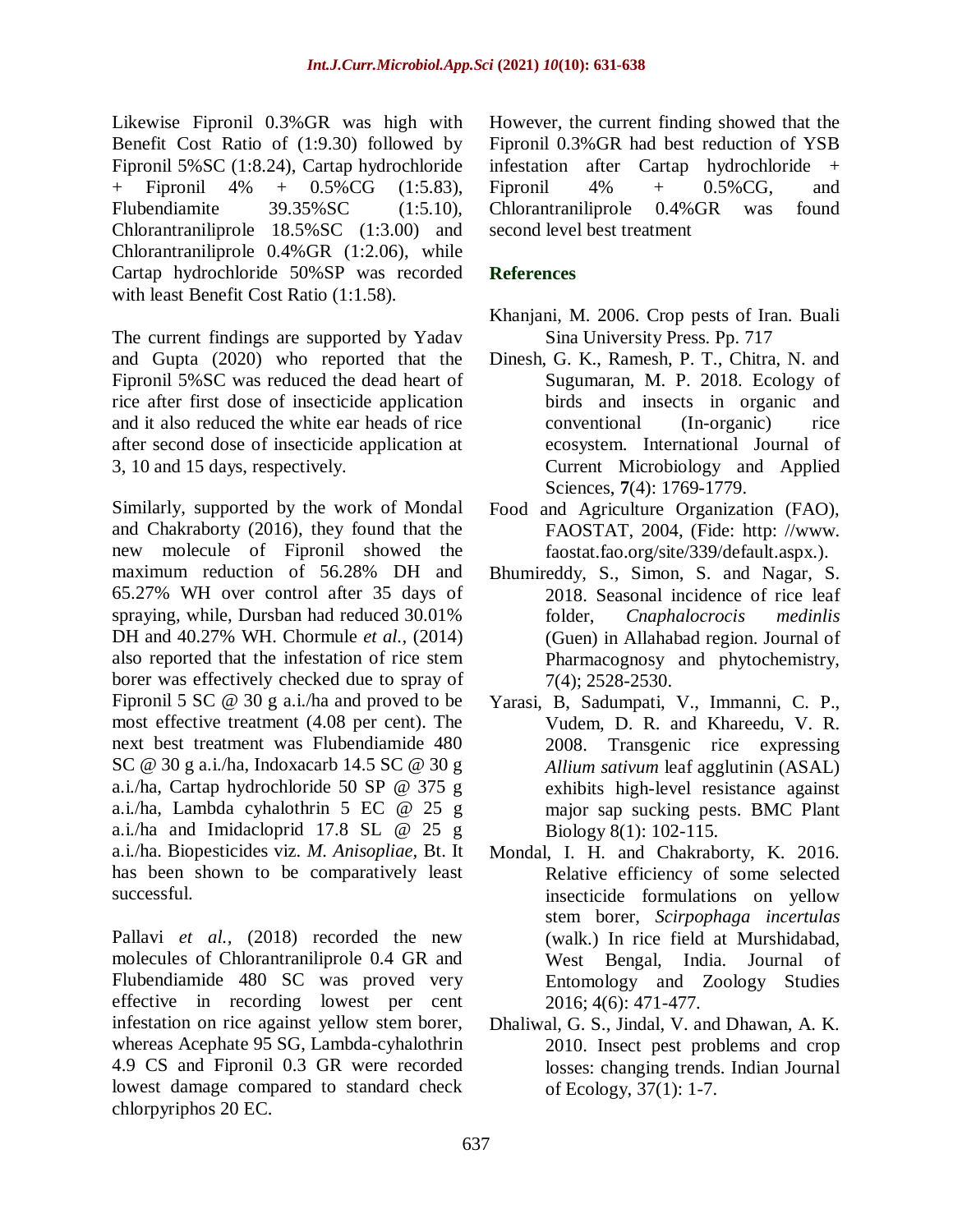Likewise Fipronil 0.3%GR was high with Benefit Cost Ratio of (1:9.30) followed by Fipronil 5%SC (1:8.24), Cartap hydrochloride + Fipronil 4% + 0.5%CG (1:5.83), Flubendiamite 39.35%SC (1:5.10), Chlorantraniliprole 18.5%SC (1:3.00) and Chlorantraniliprole 0.4%GR (1:2.06), while Cartap hydrochloride 50%SP was recorded with least Benefit Cost Ratio (1:1.58).

The current findings are supported by Yadav and Gupta (2020) who reported that the Fipronil 5%SC was reduced the dead heart of rice after first dose of insecticide application and it also reduced the white ear heads of rice after second dose of insecticide application at 3, 10 and 15 days, respectively.

Similarly, supported by the work of Mondal and Chakraborty (2016), they found that the new molecule of Fipronil showed the maximum reduction of 56.28% DH and 65.27% WH over control after 35 days of spraying, while, Dursban had reduced 30.01% DH and 40.27% WH. Chormule *et al.,* (2014) also reported that the infestation of rice stem borer was effectively checked due to spray of Fipronil 5 SC @ 30 g a.i./ha and proved to be most effective treatment (4.08 per cent). The next best treatment was Flubendiamide 480 SC @ 30 g a.i./ha, Indoxacarb 14.5 SC @ 30 g a.i./ha, Cartap hydrochloride 50 SP @ 375 g a.i./ha, Lambda cyhalothrin 5 EC @ 25 g a.i./ha and Imidacloprid 17.8 SL @ 25 g a.i./ha. Biopesticides viz. *M. Anisopliae,* Bt. It has been shown to be comparatively least successful.

Pallavi *et al.*, (2018) recorded the new molecules of Chlorantraniliprole 0.4 GR and Flubendiamide 480 SC was proved very effective in recording lowest per cent infestation on rice against yellow stem borer, whereas Acephate 95 SG, Lambda-cyhalothrin 4.9 CS and Fipronil 0.3 GR were recorded lowest damage compared to standard check chlorpyriphos 20 EC.

However, the current finding showed that the Fipronil 0.3%GR had best reduction of YSB infestation after Cartap hydrochloride + Fipronil  $4\%$  +  $0.5\%$ CG, and Chlorantraniliprole 0.4%GR was found second level best treatment

## **References**

- Khanjani, M. 2006. Crop pests of Iran. Buali Sina University Press. Pp. 717
- Dinesh, G. K., Ramesh, P. T., Chitra, N. and Sugumaran, M. P. 2018. Ecology of birds and insects in organic and conventional (In-organic) rice ecosystem. International Journal of Current Microbiology and Applied Sciences, **7**(4): 1769-1779.
- Food and Agriculture Organization (FAO), FAOSTAT, 2004, (Fide: http: //www. faostat.fao.org/site/339/default.aspx.).
- Bhumireddy, S., Simon, S. and Nagar, S. 2018. Seasonal incidence of rice leaf folder, *Cnaphalocrocis medinlis* (Guen) in Allahabad region. Journal of Pharmacognosy and phytochemistry, 7(4); 2528-2530.
- Yarasi, B, Sadumpati, V., Immanni, C. P., Vudem, D. R. and Khareedu, V. R. 2008. Transgenic rice expressing *Allium sativum* leaf agglutinin (ASAL) exhibits high-level resistance against major sap sucking pests. BMC Plant Biology 8(1): 102-115.
- Mondal, I. H. and Chakraborty, K. 2016. Relative efficiency of some selected insecticide formulations on yellow stem borer, *Scirpophaga incertulas*  (walk.) In rice field at Murshidabad, West Bengal, India. Journal of Entomology and Zoology Studies 2016; 4(6): 471-477.
- Dhaliwal, G. S., Jindal, V. and Dhawan, A. K. 2010. Insect pest problems and crop losses: changing trends. Indian Journal of Ecology, 37(1): 1-7.